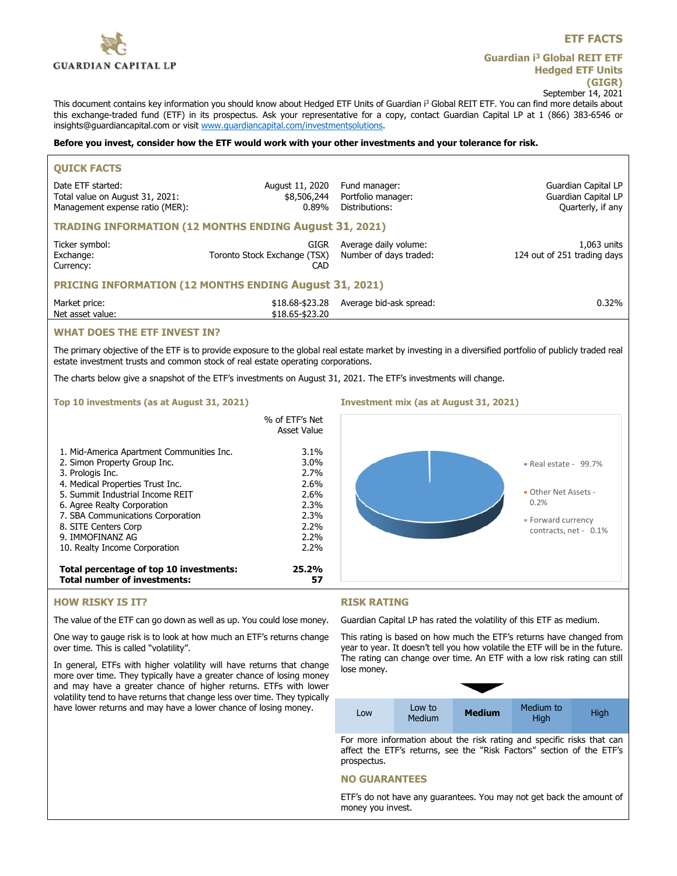

# **Guardian i<sup>3</sup> Global REIT ETF Hedged ETF Units (GIGR)** September 14, 2021

This document contains key information you should know about Hedged ETF Units of Guardian i<sup>3</sup> Global REIT ETF. You can find more details about this exchange-traded fund (ETF) in its prospectus. Ask your representative for a copy, contact Guardian Capital LP at 1 (866) 383-6546 or insights@guardiancapital.com or visit www.guardiancapital.com/investmentsolutions.

### **Before you invest, consider how the ETF would work with your other investments and your tolerance for risk.**

| <b>QUICK FACTS</b>                                                                      |                                             |                                                       |                                                                 |
|-----------------------------------------------------------------------------------------|---------------------------------------------|-------------------------------------------------------|-----------------------------------------------------------------|
| Date ETF started:<br>Total value on August 31, 2021:<br>Management expense ratio (MER): | August 11, 2020<br>\$8,506,244<br>0.89%     | Fund manager:<br>Portfolio manager:<br>Distributions: | Guardian Capital LP<br>Guardian Capital LP<br>Quarterly, if any |
| <b>TRADING INFORMATION (12 MONTHS ENDING August 31, 2021)</b>                           |                                             |                                                       |                                                                 |
| Ticker symbol:<br>Exchange:<br>Currency:                                                | GIGR<br>Toronto Stock Exchange (TSX)<br>CAD | Average daily volume:<br>Number of days traded:       | 1,063 units<br>124 out of 251 trading days                      |
| <b>PRICING INFORMATION (12 MONTHS ENDING August 31, 2021)</b>                           |                                             |                                                       |                                                                 |
| Market price:<br>Net asset value:                                                       | \$18,68-\$23,28<br>\$18.65-\$23.20          | Average bid-ask spread:                               | $0.32\%$                                                        |
| <b>WUAT DOES TUE ETE INVEST IN?</b>                                                     |                                             |                                                       |                                                                 |

# **WHAT DOES THE ETF INVEST IN?**

The primary objective of the ETF is to provide exposure to the global real estate market by investing in a diversified portfolio of publicly traded real estate investment trusts and common stock of real estate operating corporations.

The charts below give a snapshot of the ETF's investments on August 31, 2021. The ETF's investments will change.

### **Top 10 investments (as at August 31, 2021) Investment mix (as at August 31, 2021)**

|                                                                                                                                                                                                                                                                                       | % of ETF's Net<br>Asset Value                                                    |                                                                                                                   |
|---------------------------------------------------------------------------------------------------------------------------------------------------------------------------------------------------------------------------------------------------------------------------------------|----------------------------------------------------------------------------------|-------------------------------------------------------------------------------------------------------------------|
| 1. Mid-America Apartment Communities Inc.<br>2. Simon Property Group Inc.<br>3. Prologis Inc.<br>4. Medical Properties Trust Inc.<br>5. Summit Industrial Income REIT<br>6. Agree Realty Corporation<br>7. SBA Communications Corporation<br>8. SITE Centers Corp<br>9. IMMOFINANZ AG | $3.1\%$<br>$3.0\%$<br>2.7%<br>2.6%<br>$2.6\%$<br>2.3%<br>2.3%<br>$2.2\%$<br>2.2% | $\blacksquare$ Real estate - 99.7%<br>• Other Net Assets -<br>0.2%<br>· Forward currency<br>contracts, net - 0.1% |
| 10. Realty Income Corporation<br>Total percentage of top 10 investments:<br><b>Total number of investments:</b>                                                                                                                                                                       | $2.2\%$<br>25.2%<br>57                                                           |                                                                                                                   |

# **HOW RISKY IS IT?**

The value of the ETF can go down as well as up. You could lose money.

One way to gauge risk is to look at how much an ETF's returns change over time. This is called "volatility".

In general, ETFs with higher volatility will have returns that change more over time. They typically have a greater chance of losing money and may have a greater chance of higher returns. ETFs with lower volatility tend to have returns that change less over time. They typically have lower returns and may have a lower chance of losing money.

## **RISK RATING**

Guardian Capital LP has rated the volatility of this ETF as medium.

This rating is based on how much the ETF's returns have changed from year to year. It doesn't tell you how volatile the ETF will be in the future. The rating can change over time. An ETF with a low risk rating can still lose money.

| Low | Low to<br>Medium | <b>Medium</b> | Medium to<br>High | High |
|-----|------------------|---------------|-------------------|------|

For more information about the risk rating and specific risks that can affect the ETF's returns, see the "Risk Factors" section of the ETF's prospectus.

## **NO GUARANTEES**

ETF's do not have any guarantees. You may not get back the amount of money you invest.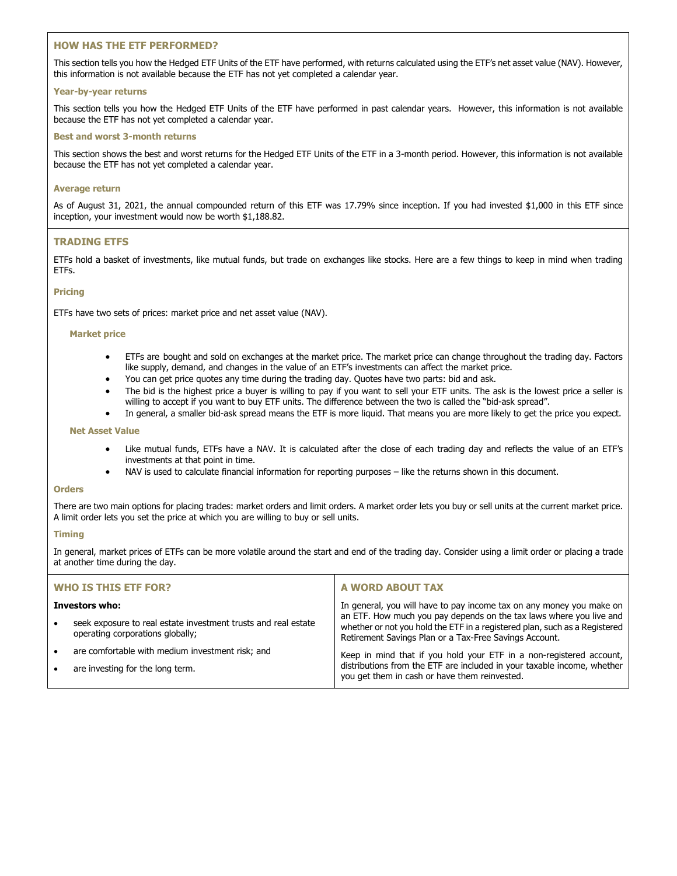# **HOW HAS THE ETF PERFORMED?**

This section tells you how the Hedged ETF Units of the ETF have performed, with returns calculated using the ETF's net asset value (NAV). However, this information is not available because the ETF has not yet completed a calendar year.

## **Year-by-year returns**

This section tells you how the Hedged ETF Units of the ETF have performed in past calendar years. However, this information is not available because the ETF has not yet completed a calendar year.

## **Best and worst 3-month returns**

This section shows the best and worst returns for the Hedged ETF Units of the ETF in a 3-month period. However, this information is not available because the ETF has not yet completed a calendar year.

## **Average return**

As of August 31, 2021, the annual compounded return of this ETF was 17.79% since inception. If you had invested \$1,000 in this ETF since inception, your investment would now be worth \$1,188.82.

# **TRADING ETFS**

ETFs hold a basket of investments, like mutual funds, but trade on exchanges like stocks. Here are a few things to keep in mind when trading ETFs.

# **Pricing**

ETFs have two sets of prices: market price and net asset value (NAV).

## **Market price**

- ETFs are bought and sold on exchanges at the market price. The market price can change throughout the trading day. Factors like supply, demand, and changes in the value of an ETF's investments can affect the market price.
- You can get price quotes any time during the trading day. Quotes have two parts: bid and ask.
- The bid is the highest price a buyer is willing to pay if you want to sell your ETF units. The ask is the lowest price a seller is willing to accept if you want to buy ETF units. The difference between the two is called the "bid-ask spread".
- In general, a smaller bid-ask spread means the ETF is more liquid. That means you are more likely to get the price you expect.

## **Net Asset Value**

- Like mutual funds, ETFs have a NAV. It is calculated after the close of each trading day and reflects the value of an ETF's investments at that point in time.
- NAV is used to calculate financial information for reporting purposes like the returns shown in this document.

#### **Orders**

There are two main options for placing trades: market orders and limit orders. A market order lets you buy or sell units at the current market price. A limit order lets you set the price at which you are willing to buy or sell units.

## **Timing**

In general, market prices of ETFs can be more volatile around the start and end of the trading day. Consider using a limit order or placing a trade at another time during the day.

| <b>WHO IS THIS ETF FOR?</b> |                                                                                                    | A WORD ABOUT TAX                                                                                                                                                                                            |  |
|-----------------------------|----------------------------------------------------------------------------------------------------|-------------------------------------------------------------------------------------------------------------------------------------------------------------------------------------------------------------|--|
| Investors who:              |                                                                                                    | In general, you will have to pay income tax on any money you make on                                                                                                                                        |  |
| $\bullet$                   | seek exposure to real estate investment trusts and real estate<br>operating corporations globally; | an ETF. How much you pay depends on the tax laws where you live and<br>whether or not you hold the ETF in a registered plan, such as a Registered<br>Retirement Savings Plan or a Tax-Free Savings Account. |  |
| $\bullet$                   | are comfortable with medium investment risk; and                                                   | Keep in mind that if you hold your ETF in a non-registered account,                                                                                                                                         |  |
| $\bullet$                   | are investing for the long term.                                                                   | distributions from the ETF are included in your taxable income, whether<br>you get them in cash or have them reinvested.                                                                                    |  |